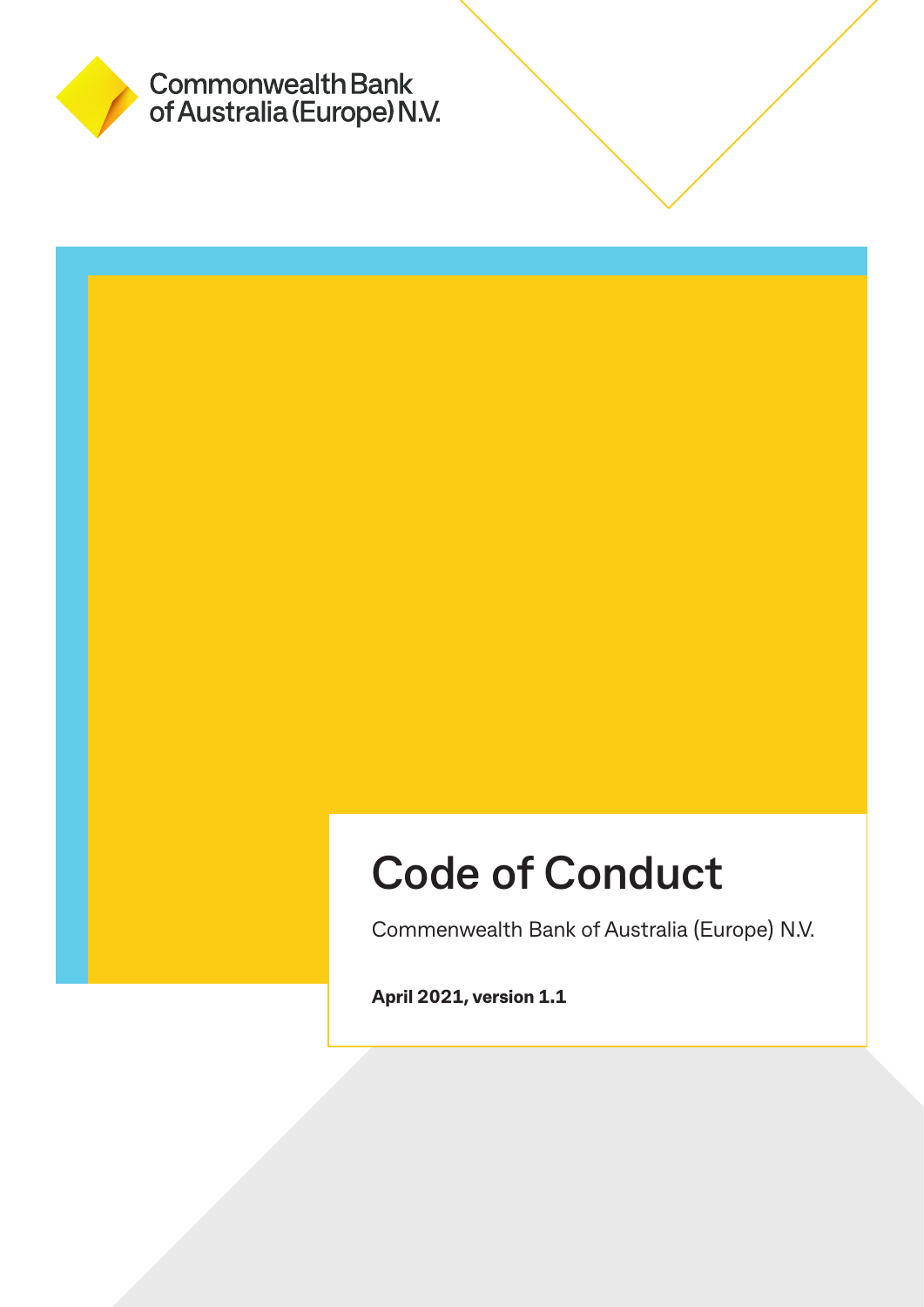

# **Code of Conduct**

Commenwealth Bank of Australia (Europe) N.V.

**April 2021, version 1.1**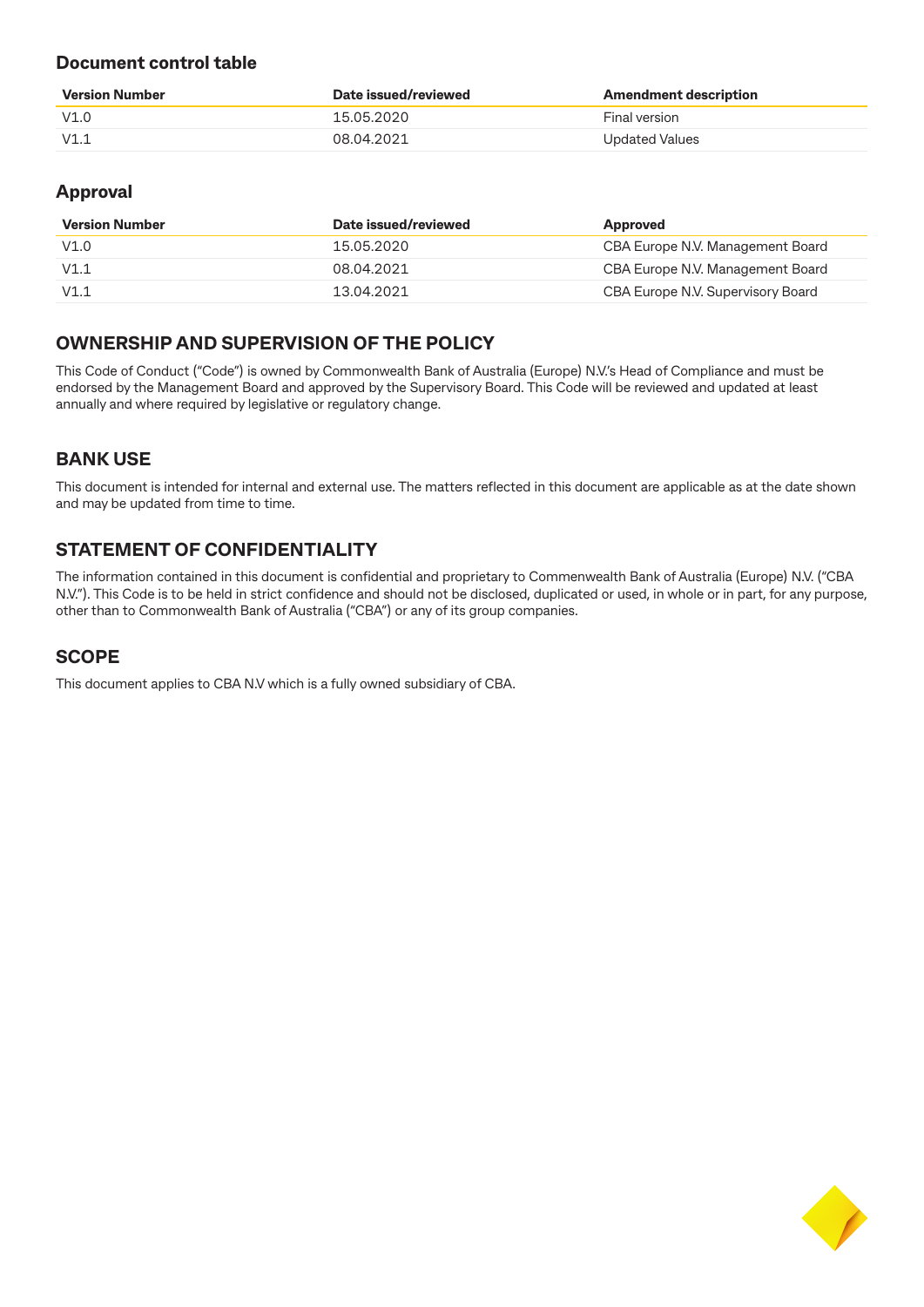### **Document control table**

| <b>Version Number</b> | Date issued/reviewed | <b>Amendment description</b> |
|-----------------------|----------------------|------------------------------|
| V1.0                  | 15.05.2020           | Final version                |
| V1.1                  | 08 04 2021           | Updated Values               |

### **Approval**

| <b>Version Number</b> | Date issued/reviewed | Approved                          |
|-----------------------|----------------------|-----------------------------------|
| V1.0                  | 15.05.2020           | CBA Europe N.V. Management Board  |
| V1.1                  | 08.04.2021           | CBA Europe N.V. Management Board  |
| V1.1                  | 13.04.2021           | CBA Europe N.V. Supervisory Board |

### **OWNERSHIP AND SUPERVISION OF THE POLICY**

This Code of Conduct ("Code") is owned by Commonwealth Bank of Australia (Europe) N.V.'s Head of Compliance and must be endorsed by the Management Board and approved by the Supervisory Board. This Code will be reviewed and updated at least annually and where required by legislative or regulatory change.

### **BANK USE**

This document is intended for internal and external use. The matters reflected in this document are applicable as at the date shown and may be updated from time to time.

### **STATEMENT OF CONFIDENTIALITY**

The information contained in this document is confidential and proprietary to Commenwealth Bank of Australia (Europe) N.V. ("CBA N.V."). This Code is to be held in strict confidence and should not be disclosed, duplicated or used, in whole or in part, for any purpose, other than to Commonwealth Bank of Australia ("CBA") or any of its group companies.

### **SCOPE**

This document applies to CBA N.V which is a fully owned subsidiary of CBA.

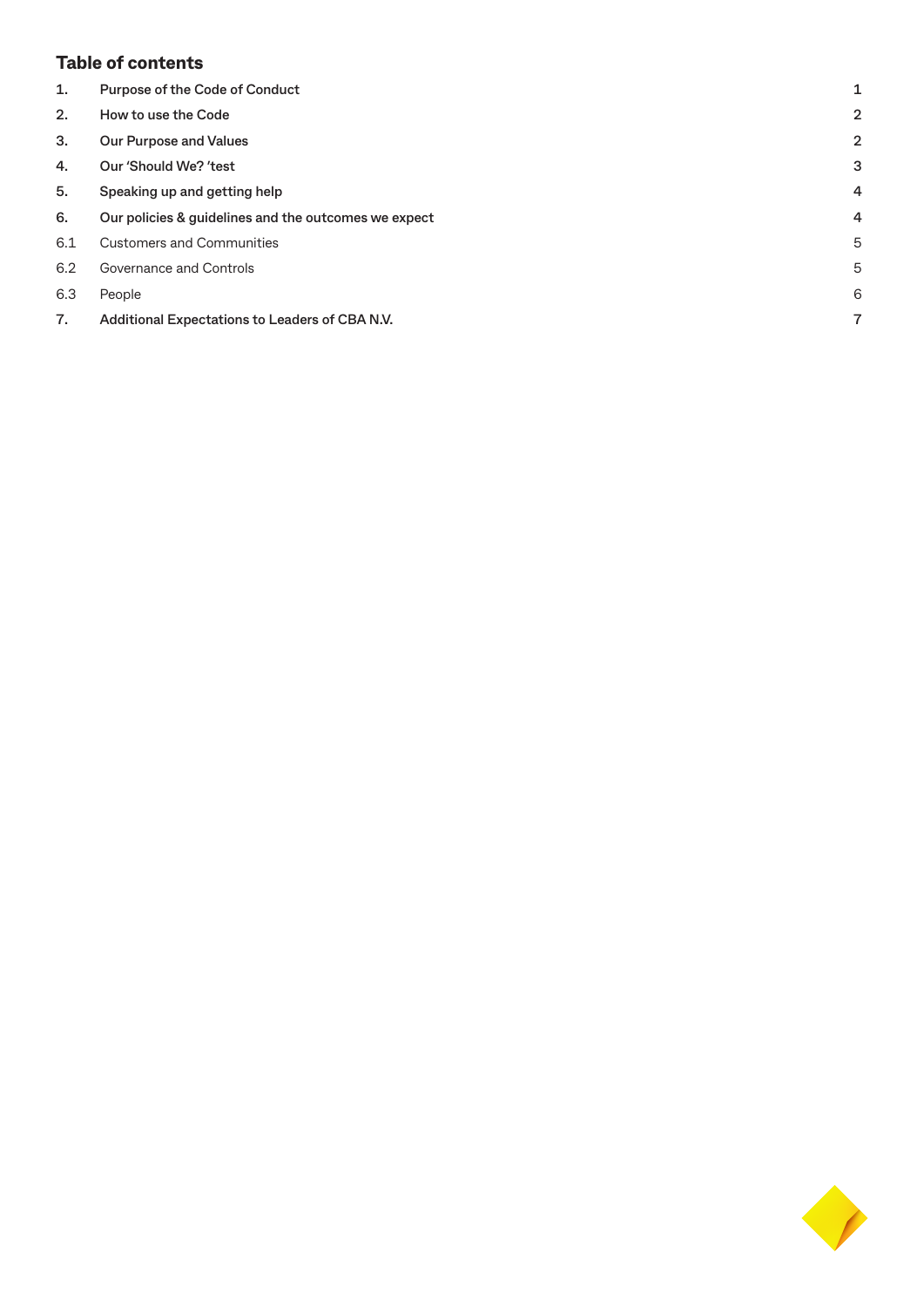### **Table of contents**

| 1.  | <b>Purpose of the Code of Conduct</b>                | 1 |
|-----|------------------------------------------------------|---|
| 2.  | How to use the Code                                  | 2 |
| 3.  | <b>Our Purpose and Values</b>                        | 2 |
| 4.  | Our 'Should We? 'test                                | З |
| 5.  | Speaking up and getting help                         | 4 |
| 6.  | Our policies & guidelines and the outcomes we expect | 4 |
| 6.1 | <b>Customers and Communities</b>                     | 5 |
| 6.2 | Governance and Controls                              | 5 |
| 6.3 | People                                               | 6 |
| 7.  | Additional Expectations to Leaders of CBA N.V.       | 7 |
|     |                                                      |   |

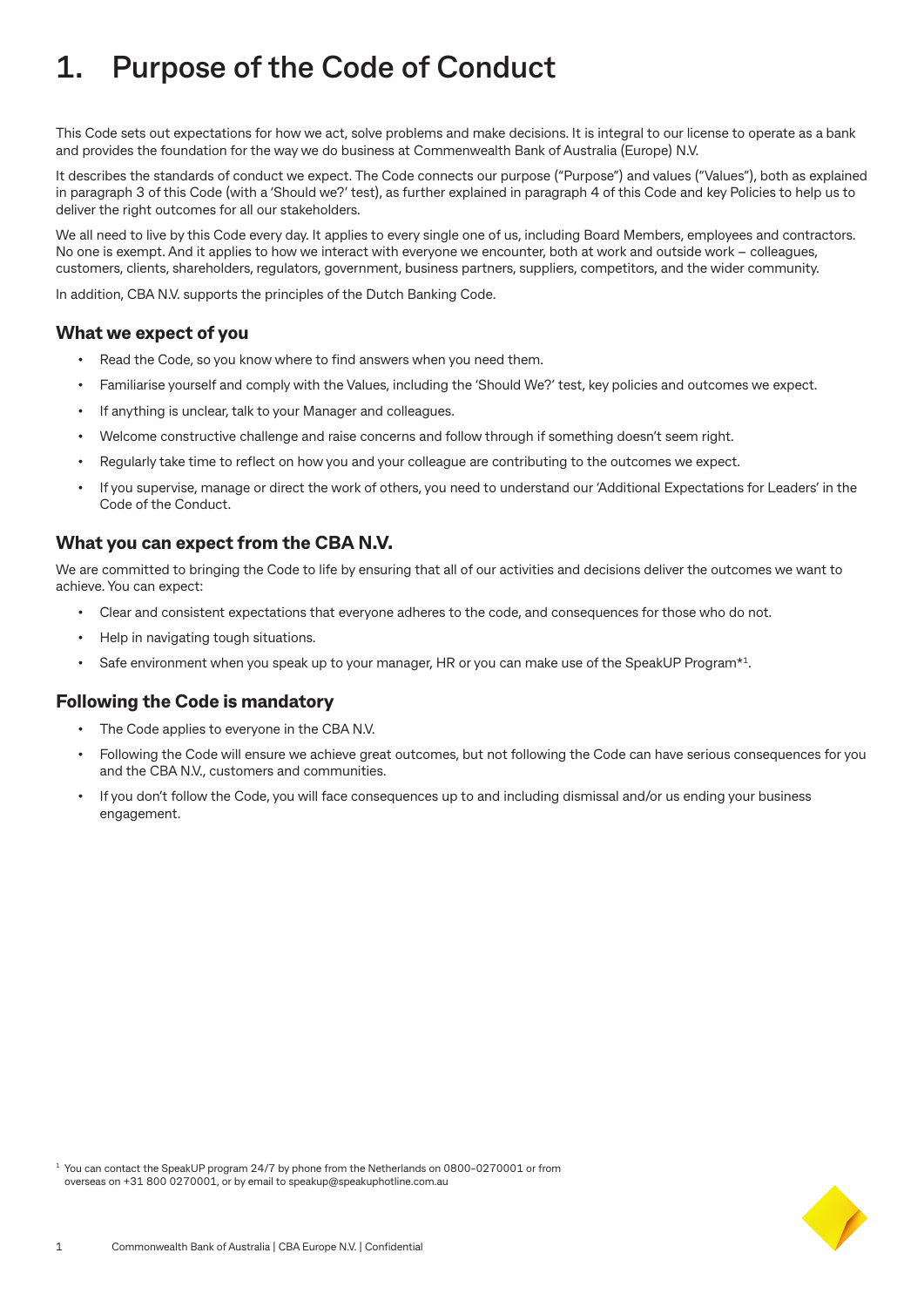# **1. Purpose of the Code of Conduct**

This Code sets out expectations for how we act, solve problems and make decisions. It is integral to our license to operate as a bank and provides the foundation for the way we do business at Commenwealth Bank of Australia (Europe) N.V.

It describes the standards of conduct we expect. The Code connects our purpose ("Purpose") and values ("Values"), both as explained in paragraph 3 of this Code (with a 'Should we?' test), as further explained in paragraph 4 of this Code and key Policies to help us to deliver the right outcomes for all our stakeholders.

We all need to live by this Code every day. It applies to every single one of us, including Board Members, employees and contractors. No one is exempt. And it applies to how we interact with everyone we encounter, both at work and outside work – colleagues, customers, clients, shareholders, regulators, government, business partners, suppliers, competitors, and the wider community.

In addition, CBA N.V. supports the principles of the Dutch Banking Code.

#### **What we expect of you**

- Read the Code, so you know where to find answers when you need them.
- Familiarise yourself and comply with the Values, including the 'Should We?' test, key policies and outcomes we expect.
- If anything is unclear, talk to your Manager and colleagues.
- Welcome constructive challenge and raise concerns and follow through if something doesn't seem right.
- Regularly take time to reflect on how you and your colleague are contributing to the outcomes we expect.
- If you supervise, manage or direct the work of others, you need to understand our 'Additional Expectations for Leaders' in the Code of the Conduct.

#### **What you can expect from the CBA N.V.**

We are committed to bringing the Code to life by ensuring that all of our activities and decisions deliver the outcomes we want to achieve. You can expect:

- Clear and consistent expectations that everyone adheres to the code, and consequences for those who do not.
- Help in navigating tough situations.
- Safe environment when you speak up to your manager, HR or you can make use of the SpeakUP Program\*1.

#### **Following the Code is mandatory**

- The Code applies to everyone in the CBA N.V.
- Following the Code will ensure we achieve great outcomes, but not following the Code can have serious consequences for you and the CBA N.V., customers and communities.
- If you don't follow the Code, you will face consequences up to and including dismissal and/or us ending your business engagement.

<sup>1</sup> You can contact the SpeakUP program 24/7 by phone from the Netherlands on 0800-0270001 or from overseas on +31 800 0270001, or by email to speakup@speakuphotline.com.au

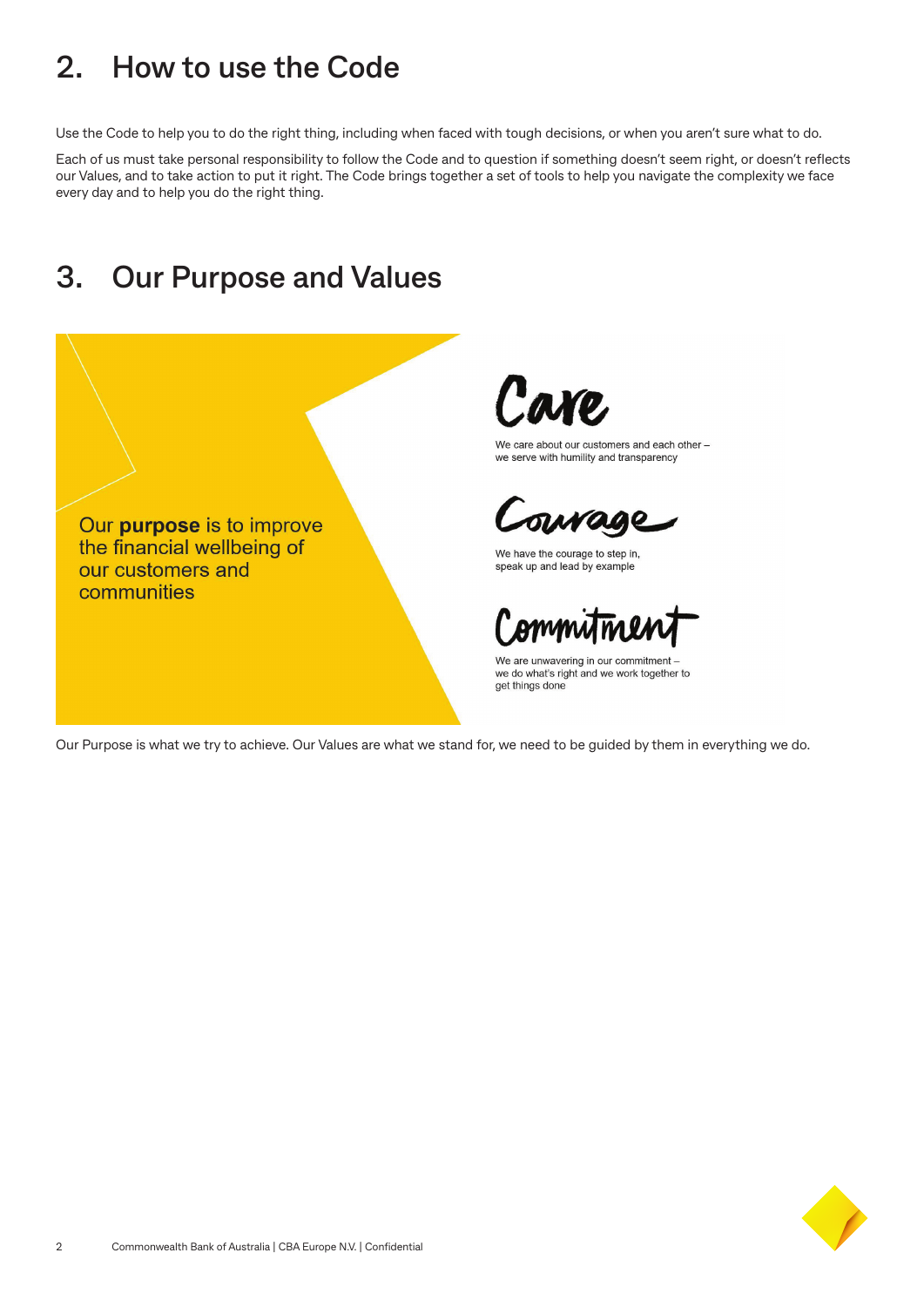### **2. How to use the Code**

Use the Code to help you to do the right thing, including when faced with tough decisions, or when you aren't sure what to do.

Each of us must take personal responsibility to follow the Code and to question if something doesn't seem right, or doesn't reflects our Values, and to take action to put it right. The Code brings together a set of tools to help you navigate the complexity we face every day and to help you do the right thing.

### **3. Our Purpose and Values**

Our purpose is to improve the financial wellbeing of our customers and communities



We care about our customers and each other we serve with humility and transparency

We have the courage to step in, speak up and lead by example

We are unwavering in our commitment we do what's right and we work together to get things done

Our Purpose is what we try to achieve. Our Values are what we stand for, we need to be guided by them in everything we do.

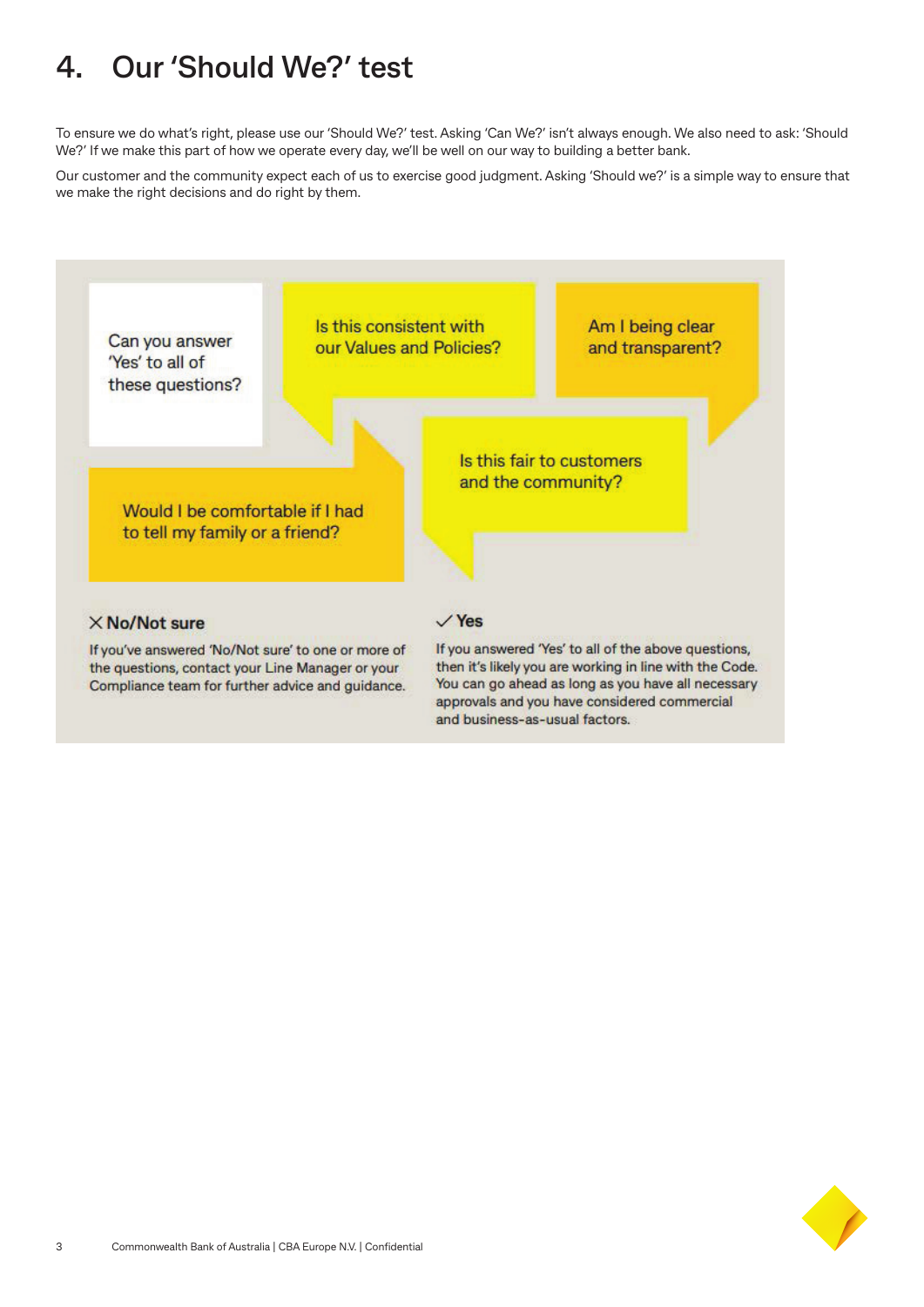# **4. Our 'Should We?' test**

To ensure we do what's right, please use our 'Should We?' test. Asking 'Can We?' isn't always enough. We also need to ask: 'Should We?' If we make this part of how we operate every day, we'll be well on our way to building a better bank.

Our customer and the community expect each of us to exercise good judgment. Asking 'Should we?' is a simple way to ensure that we make the right decisions and do right by them.



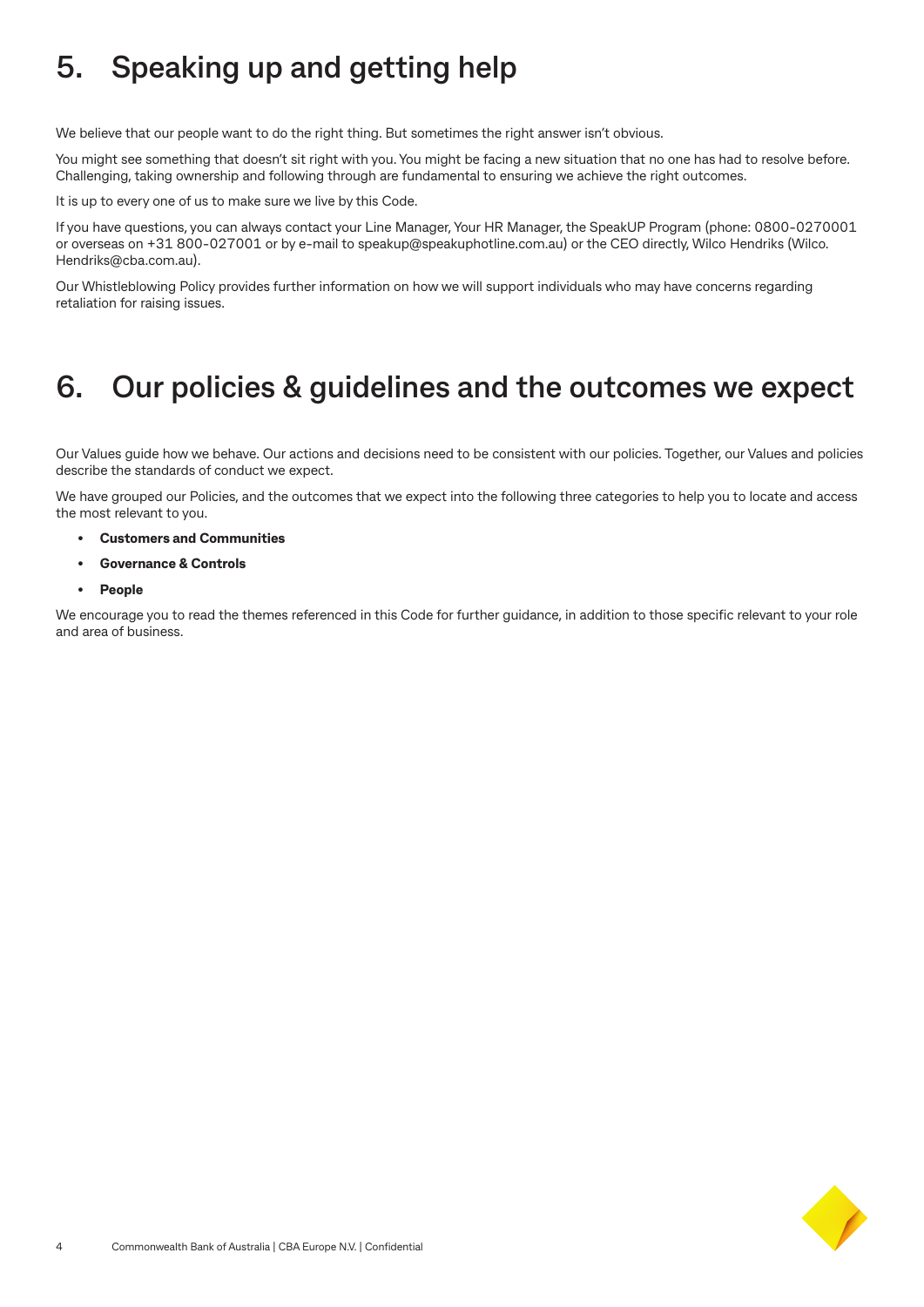# **5. Speaking up and getting help**

We believe that our people want to do the right thing. But sometimes the right answer isn't obvious.

You might see something that doesn't sit right with you. You might be facing a new situation that no one has had to resolve before. Challenging, taking ownership and following through are fundamental to ensuring we achieve the right outcomes.

It is up to every one of us to make sure we live by this Code.

If you have questions, you can always contact your Line Manager, Your HR Manager, the SpeakUP Program (phone: 0800-0270001 or overseas on +31 800-027001 or by e-mail to speakup@speakuphotline.com.au) or the CEO directly, Wilco Hendriks (Wilco. Hendriks@cba.com.au).

Our Whistleblowing Policy provides further information on how we will support individuals who may have concerns regarding retaliation for raising issues.

### **6. Our policies & guidelines and the outcomes we expect**

Our Values guide how we behave. Our actions and decisions need to be consistent with our policies. Together, our Values and policies describe the standards of conduct we expect.

We have grouped our Policies, and the outcomes that we expect into the following three categories to help you to locate and access the most relevant to you.

- **• Customers and Communities**
- **• Governance & Controls**
- **• People**

We encourage you to read the themes referenced in this Code for further guidance, in addition to those specific relevant to your role and area of business.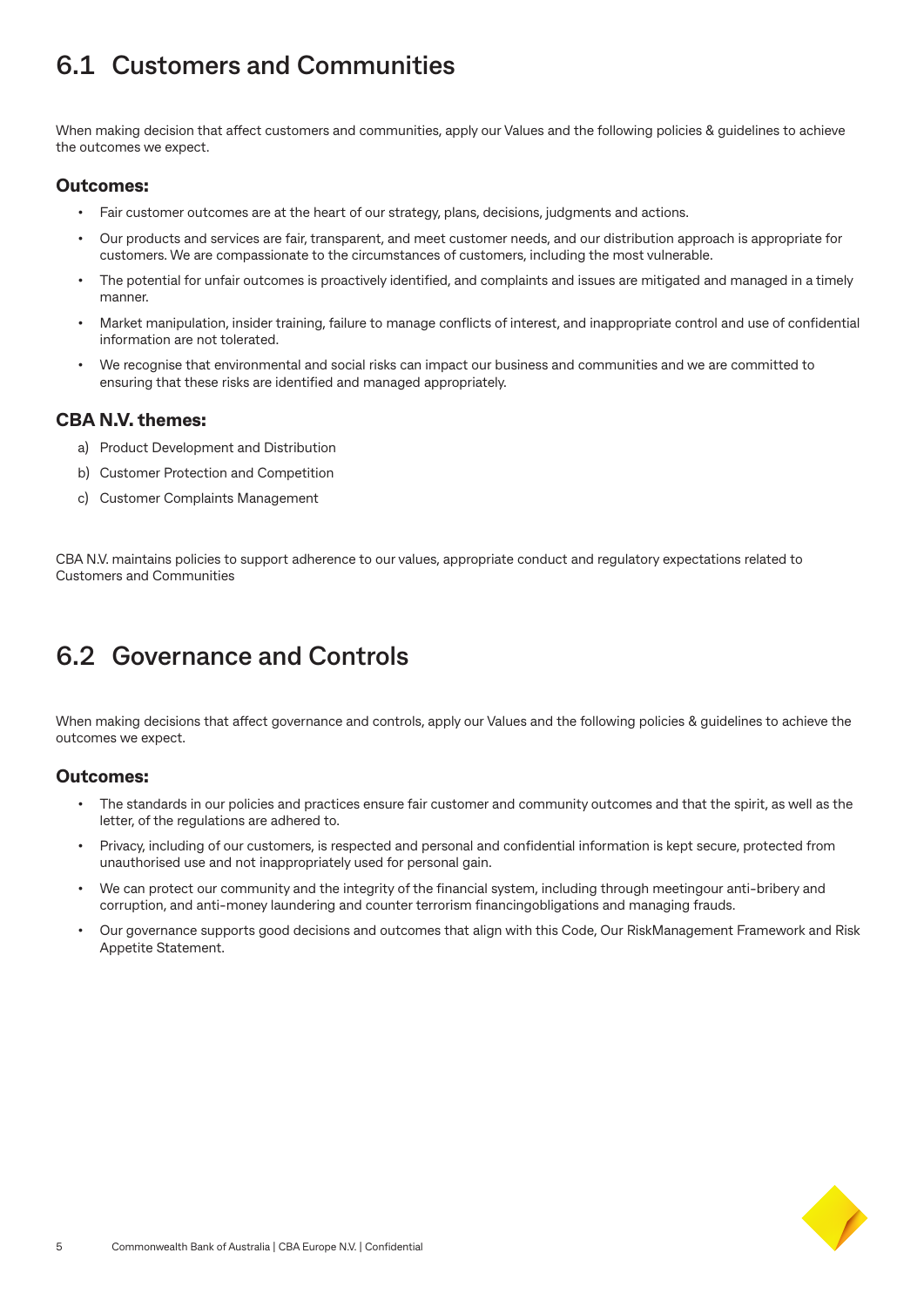### **6.1 Customers and Communities**

When making decision that affect customers and communities, apply our Values and the following policies & guidelines to achieve the outcomes we expect.

#### **Outcomes:**

- Fair customer outcomes are at the heart of our strategy, plans, decisions, judgments and actions.
- Our products and services are fair, transparent, and meet customer needs, and our distribution approach is appropriate for customers. We are compassionate to the circumstances of customers, including the most vulnerable.
- The potential for unfair outcomes is proactively identified, and complaints and issues are mitigated and managed in a timely manner.
- Market manipulation, insider training, failure to manage conflicts of interest, and inappropriate control and use of confidential information are not tolerated.
- We recognise that environmental and social risks can impact our business and communities and we are committed to ensuring that these risks are identified and managed appropriately.

### **CBA N.V. themes:**

- a) Product Development and Distribution
- b) Customer Protection and Competition
- c) Customer Complaints Management

CBA N.V. maintains policies to support adherence to our values, appropriate conduct and regulatory expectations related to Customers and Communities

### **6.2 Governance and Controls**

When making decisions that affect governance and controls, apply our Values and the following policies & guidelines to achieve the outcomes we expect.

#### **Outcomes:**

- The standards in our policies and practices ensure fair customer and community outcomes and that the spirit, as well as the letter, of the regulations are adhered to.
- Privacy, including of our customers, is respected and personal and confidential information is kept secure, protected from unauthorised use and not inappropriately used for personal gain.
- We can protect our community and the integrity of the financial system, including through meetingour anti-bribery and corruption, and anti-money laundering and counter terrorism financingobligations and managing frauds.
- Our governance supports good decisions and outcomes that align with this Code, Our RiskManagement Framework and Risk Appetite Statement.

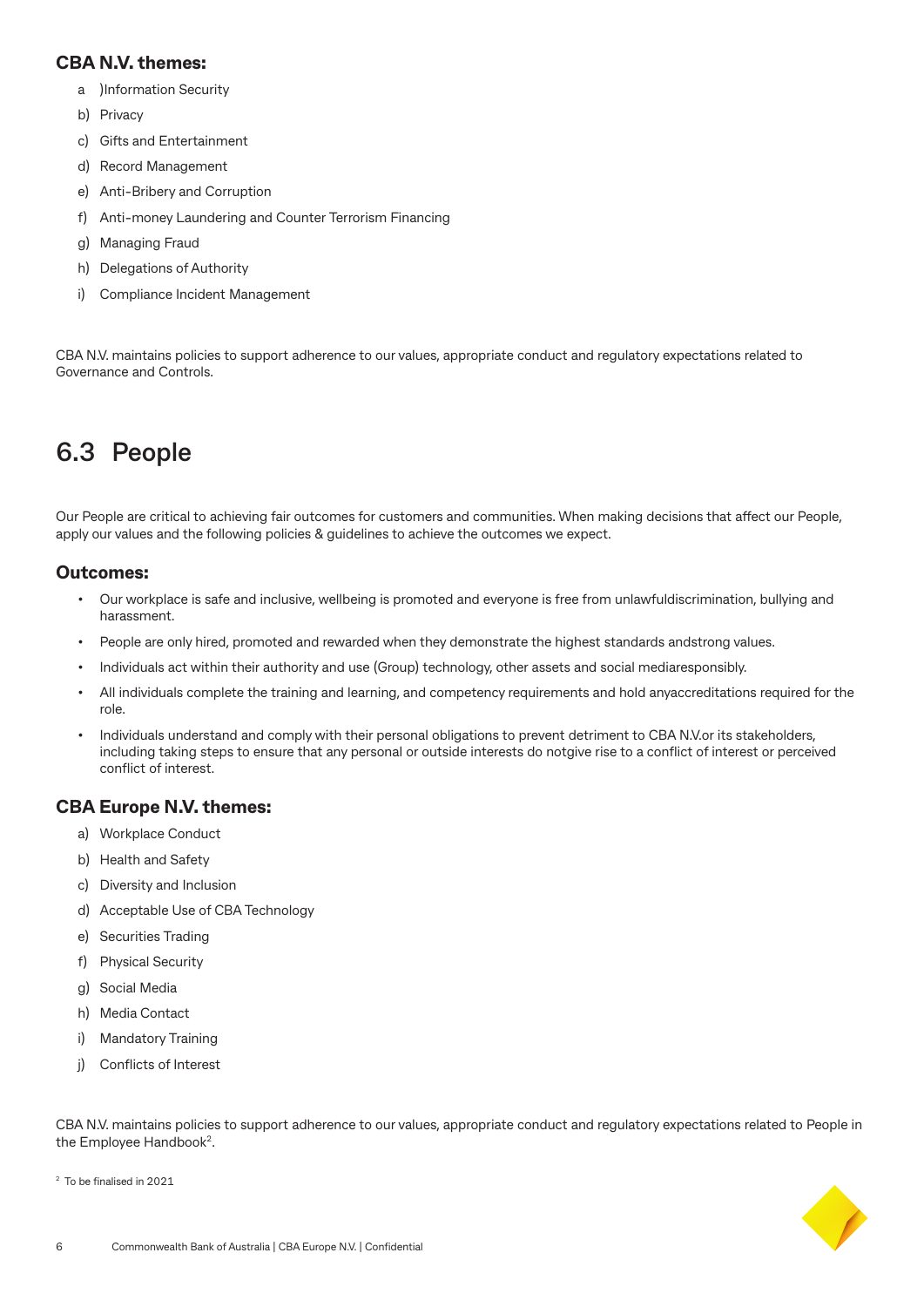### **CBA N.V. themes:**

- a )Information Security
- b) Privacy
- c) Gifts and Entertainment
- d) Record Management
- e) Anti-Bribery and Corruption
- f) Anti-money Laundering and Counter Terrorism Financing
- g) Managing Fraud
- h) Delegations of Authority
- i) Compliance Incident Management

CBA N.V. maintains policies to support adherence to our values, appropriate conduct and regulatory expectations related to Governance and Controls.

### **6.3 People**

Our People are critical to achieving fair outcomes for customers and communities. When making decisions that affect our People, apply our values and the following policies & guidelines to achieve the outcomes we expect.

#### **Outcomes:**

- Our workplace is safe and inclusive, wellbeing is promoted and everyone is free from unlawfuldiscrimination, bullying and harassment.
- People are only hired, promoted and rewarded when they demonstrate the highest standards andstrong values.
- Individuals act within their authority and use (Group) technology, other assets and social mediaresponsibly.
- All individuals complete the training and learning, and competency requirements and hold anyaccreditations required for the role.
- Individuals understand and comply with their personal obligations to prevent detriment to CBA N.V.or its stakeholders, including taking steps to ensure that any personal or outside interests do notgive rise to a conflict of interest or perceived conflict of interest.

### **CBA Europe N.V. themes:**

- a) Workplace Conduct
- b) Health and Safety
- c) Diversity and Inclusion
- d) Acceptable Use of CBA Technology
- e) Securities Trading
- f) Physical Security
- g) Social Media
- h) Media Contact
- i) Mandatory Training
- j) Conflicts of Interest

CBA N.V. maintains policies to support adherence to our values, appropriate conduct and regulatory expectations related to People in the Employee Handbook<sup>2</sup>.

<sup>2</sup> To be finalised in 2021